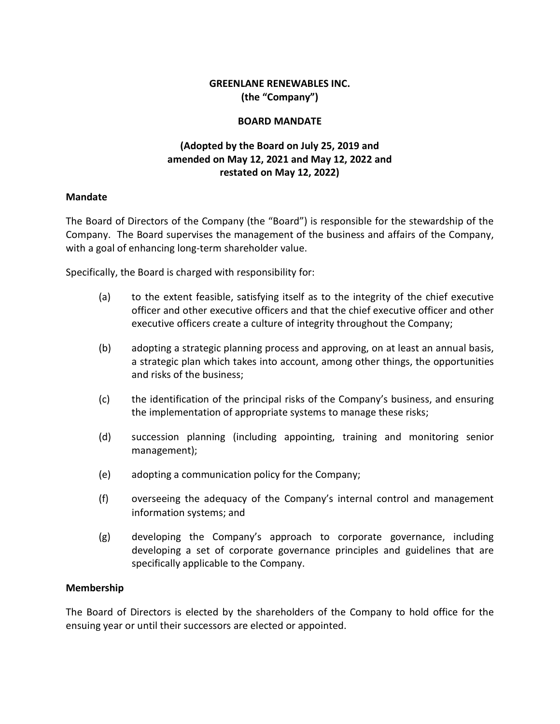### **GREENLANE RENEWABLES INC. (the "Company")**

#### **BOARD MANDATE**

# **(Adopted by the Board on July 25, 2019 and amended on May 12, 2021 and May 12, 2022 and restated on May 12, 2022)**

#### **Mandate**

The Board of Directors of the Company (the "Board") is responsible for the stewardship of the Company. The Board supervises the management of the business and affairs of the Company, with a goal of enhancing long-term shareholder value.

Specifically, the Board is charged with responsibility for:

- (a) to the extent feasible, satisfying itself as to the integrity of the chief executive officer and other executive officers and that the chief executive officer and other executive officers create a culture of integrity throughout the Company;
- (b) adopting a strategic planning process and approving, on at least an annual basis, a strategic plan which takes into account, among other things, the opportunities and risks of the business;
- (c) the identification of the principal risks of the Company's business, and ensuring the implementation of appropriate systems to manage these risks;
- (d) succession planning (including appointing, training and monitoring senior management);
- (e) adopting a communication policy for the Company;
- (f) overseeing the adequacy of the Company's internal control and management information systems; and
- (g) developing the Company's approach to corporate governance, including developing a set of corporate governance principles and guidelines that are specifically applicable to the Company.

#### **Membership**

The Board of Directors is elected by the shareholders of the Company to hold office for the ensuing year or until their successors are elected or appointed.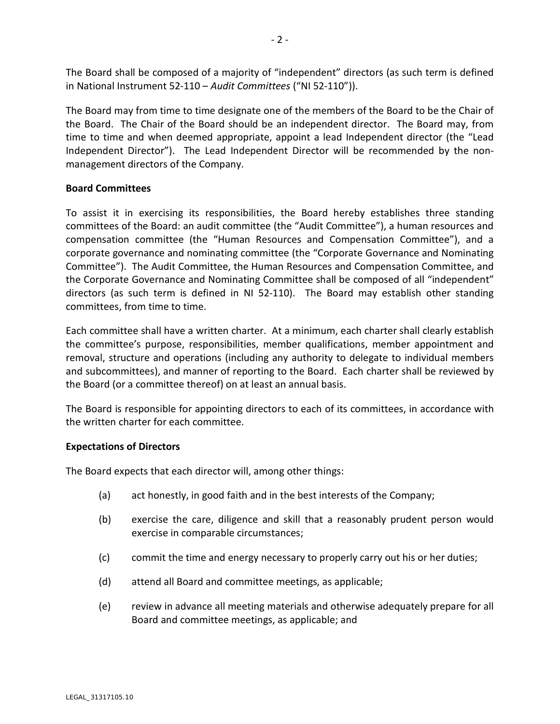The Board shall be composed of a majority of "independent" directors (as such term is defined in National Instrument 52-110 – *Audit Committees* ("NI 52-110")).

The Board may from time to time designate one of the members of the Board to be the Chair of the Board. The Chair of the Board should be an independent director. The Board may, from time to time and when deemed appropriate, appoint a lead Independent director (the "Lead Independent Director"). The Lead Independent Director will be recommended by the nonmanagement directors of the Company.

### **Board Committees**

To assist it in exercising its responsibilities, the Board hereby establishes three standing committees of the Board: an audit committee (the "Audit Committee"), a human resources and compensation committee (the "Human Resources and Compensation Committee"), and a corporate governance and nominating committee (the "Corporate Governance and Nominating Committee"). The Audit Committee, the Human Resources and Compensation Committee, and the Corporate Governance and Nominating Committee shall be composed of all "independent" directors (as such term is defined in NI 52-110). The Board may establish other standing committees, from time to time.

Each committee shall have a written charter. At a minimum, each charter shall clearly establish the committee's purpose, responsibilities, member qualifications, member appointment and removal, structure and operations (including any authority to delegate to individual members and subcommittees), and manner of reporting to the Board. Each charter shall be reviewed by the Board (or a committee thereof) on at least an annual basis.

The Board is responsible for appointing directors to each of its committees, in accordance with the written charter for each committee.

### **Expectations of Directors**

The Board expects that each director will, among other things:

- (a) act honestly, in good faith and in the best interests of the Company;
- (b) exercise the care, diligence and skill that a reasonably prudent person would exercise in comparable circumstances;
- (c) commit the time and energy necessary to properly carry out his or her duties;
- (d) attend all Board and committee meetings, as applicable;
- (e) review in advance all meeting materials and otherwise adequately prepare for all Board and committee meetings, as applicable; and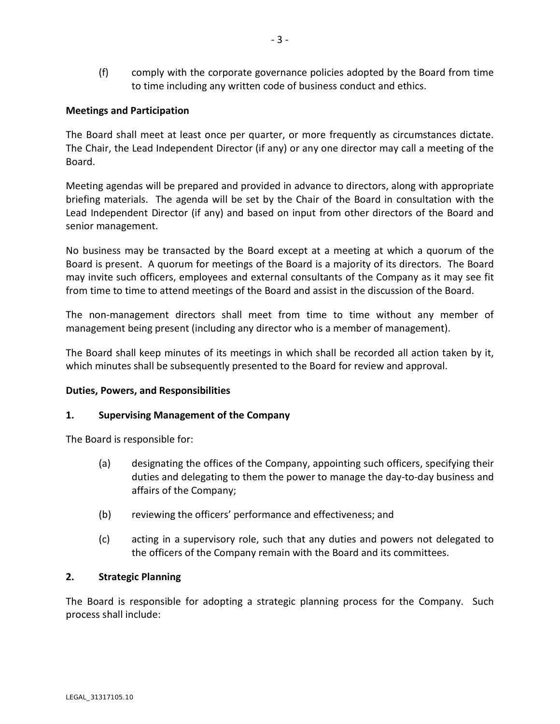(f) comply with the corporate governance policies adopted by the Board from time to time including any written code of business conduct and ethics.

### **Meetings and Participation**

The Board shall meet at least once per quarter, or more frequently as circumstances dictate. The Chair, the Lead Independent Director (if any) or any one director may call a meeting of the Board.

Meeting agendas will be prepared and provided in advance to directors, along with appropriate briefing materials. The agenda will be set by the Chair of the Board in consultation with the Lead Independent Director (if any) and based on input from other directors of the Board and senior management.

No business may be transacted by the Board except at a meeting at which a quorum of the Board is present. A quorum for meetings of the Board is a majority of its directors. The Board may invite such officers, employees and external consultants of the Company as it may see fit from time to time to attend meetings of the Board and assist in the discussion of the Board.

The non-management directors shall meet from time to time without any member of management being present (including any director who is a member of management).

The Board shall keep minutes of its meetings in which shall be recorded all action taken by it, which minutes shall be subsequently presented to the Board for review and approval.

### **Duties, Powers, and Responsibilities**

### **1. Supervising Management of the Company**

The Board is responsible for:

- (a) designating the offices of the Company, appointing such officers, specifying their duties and delegating to them the power to manage the day-to-day business and affairs of the Company;
- (b) reviewing the officers' performance and effectiveness; and
- (c) acting in a supervisory role, such that any duties and powers not delegated to the officers of the Company remain with the Board and its committees.

### **2. Strategic Planning**

The Board is responsible for adopting a strategic planning process for the Company. Such process shall include: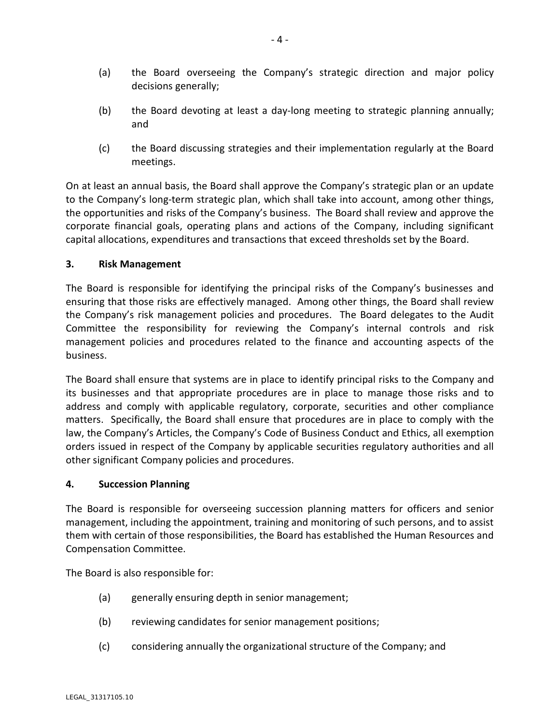- (a) the Board overseeing the Company's strategic direction and major policy decisions generally;
- (b) the Board devoting at least a day-long meeting to strategic planning annually; and
- (c) the Board discussing strategies and their implementation regularly at the Board meetings.

On at least an annual basis, the Board shall approve the Company's strategic plan or an update to the Company's long-term strategic plan, which shall take into account, among other things, the opportunities and risks of the Company's business. The Board shall review and approve the corporate financial goals, operating plans and actions of the Company, including significant capital allocations, expenditures and transactions that exceed thresholds set by the Board.

### **3. Risk Management**

The Board is responsible for identifying the principal risks of the Company's businesses and ensuring that those risks are effectively managed. Among other things, the Board shall review the Company's risk management policies and procedures. The Board delegates to the Audit Committee the responsibility for reviewing the Company's internal controls and risk management policies and procedures related to the finance and accounting aspects of the business.

The Board shall ensure that systems are in place to identify principal risks to the Company and its businesses and that appropriate procedures are in place to manage those risks and to address and comply with applicable regulatory, corporate, securities and other compliance matters. Specifically, the Board shall ensure that procedures are in place to comply with the law, the Company's Articles, the Company's Code of Business Conduct and Ethics, all exemption orders issued in respect of the Company by applicable securities regulatory authorities and all other significant Company policies and procedures.

### **4. Succession Planning**

The Board is responsible for overseeing succession planning matters for officers and senior management, including the appointment, training and monitoring of such persons, and to assist them with certain of those responsibilities, the Board has established the Human Resources and Compensation Committee.

The Board is also responsible for:

- (a) generally ensuring depth in senior management;
- (b) reviewing candidates for senior management positions;
- (c) considering annually the organizational structure of the Company; and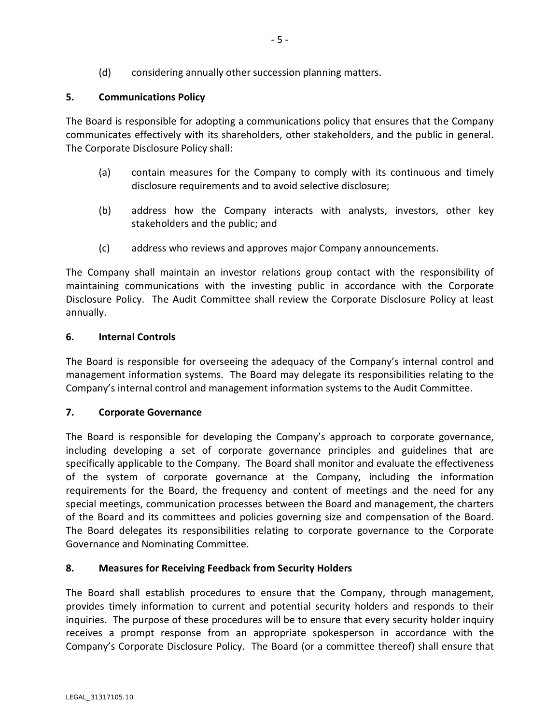# **5. Communications Policy**

The Board is responsible for adopting a communications policy that ensures that the Company communicates effectively with its shareholders, other stakeholders, and the public in general. The Corporate Disclosure Policy shall:

- (a) contain measures for the Company to comply with its continuous and timely disclosure requirements and to avoid selective disclosure;
- (b) address how the Company interacts with analysts, investors, other key stakeholders and the public; and
- (c) address who reviews and approves major Company announcements.

The Company shall maintain an investor relations group contact with the responsibility of maintaining communications with the investing public in accordance with the Corporate Disclosure Policy. The Audit Committee shall review the Corporate Disclosure Policy at least annually.

# **6. Internal Controls**

The Board is responsible for overseeing the adequacy of the Company's internal control and management information systems. The Board may delegate its responsibilities relating to the Company's internal control and management information systems to the Audit Committee.

### **7. Corporate Governance**

The Board is responsible for developing the Company's approach to corporate governance, including developing a set of corporate governance principles and guidelines that are specifically applicable to the Company. The Board shall monitor and evaluate the effectiveness of the system of corporate governance at the Company, including the information requirements for the Board, the frequency and content of meetings and the need for any special meetings, communication processes between the Board and management, the charters of the Board and its committees and policies governing size and compensation of the Board. The Board delegates its responsibilities relating to corporate governance to the Corporate Governance and Nominating Committee.

### **8. Measures for Receiving Feedback from Security Holders**

The Board shall establish procedures to ensure that the Company, through management, provides timely information to current and potential security holders and responds to their inquiries. The purpose of these procedures will be to ensure that every security holder inquiry receives a prompt response from an appropriate spokesperson in accordance with the Company's Corporate Disclosure Policy. The Board (or a committee thereof) shall ensure that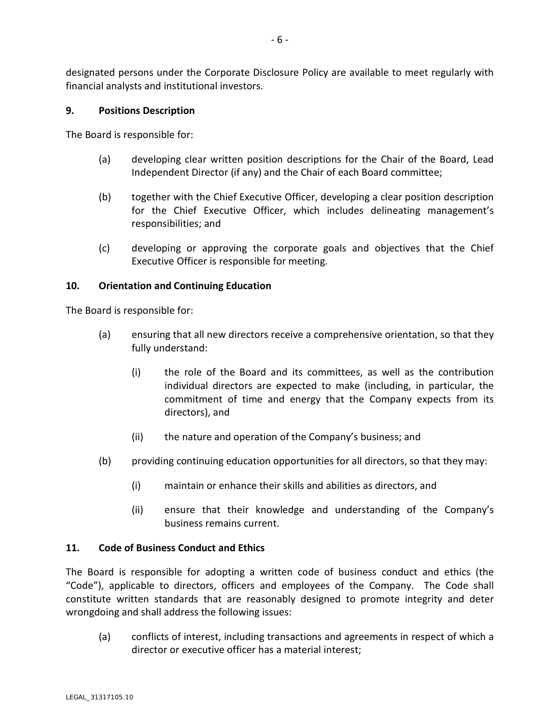designated persons under the Corporate Disclosure Policy are available to meet regularly with financial analysts and institutional investors.

### **9. Positions Description**

The Board is responsible for:

- (a) developing clear written position descriptions for the Chair of the Board, Lead Independent Director (if any) and the Chair of each Board committee;
- (b) together with the Chief Executive Officer, developing a clear position description for the Chief Executive Officer, which includes delineating management's responsibilities; and
- (c) developing or approving the corporate goals and objectives that the Chief Executive Officer is responsible for meeting.

### **10. Orientation and Continuing Education**

The Board is responsible for:

- (a) ensuring that all new directors receive a comprehensive orientation, so that they fully understand:
	- (i) the role of the Board and its committees, as well as the contribution individual directors are expected to make (including, in particular, the commitment of time and energy that the Company expects from its directors), and
	- (ii) the nature and operation of the Company's business; and
- (b) providing continuing education opportunities for all directors, so that they may:
	- (i) maintain or enhance their skills and abilities as directors, and
	- (ii) ensure that their knowledge and understanding of the Company's business remains current.

### **11. Code of Business Conduct and Ethics**

The Board is responsible for adopting a written code of business conduct and ethics (the "Code"), applicable to directors, officers and employees of the Company. The Code shall constitute written standards that are reasonably designed to promote integrity and deter wrongdoing and shall address the following issues:

(a) conflicts of interest, including transactions and agreements in respect of which a director or executive officer has a material interest;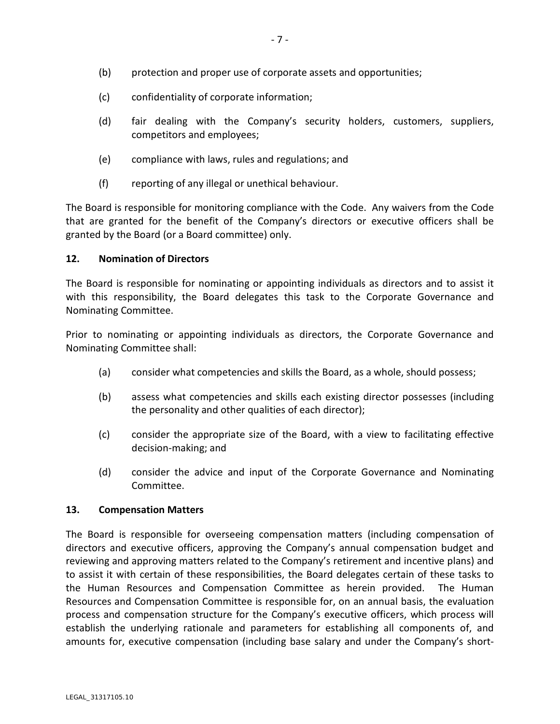- (c) confidentiality of corporate information;
- (d) fair dealing with the Company's security holders, customers, suppliers, competitors and employees;
- (e) compliance with laws, rules and regulations; and
- (f) reporting of any illegal or unethical behaviour.

The Board is responsible for monitoring compliance with the Code. Any waivers from the Code that are granted for the benefit of the Company's directors or executive officers shall be granted by the Board (or a Board committee) only.

### **12. Nomination of Directors**

The Board is responsible for nominating or appointing individuals as directors and to assist it with this responsibility, the Board delegates this task to the Corporate Governance and Nominating Committee.

Prior to nominating or appointing individuals as directors, the Corporate Governance and Nominating Committee shall:

- (a) consider what competencies and skills the Board, as a whole, should possess;
- (b) assess what competencies and skills each existing director possesses (including the personality and other qualities of each director);
- (c) consider the appropriate size of the Board, with a view to facilitating effective decision-making; and
- (d) consider the advice and input of the Corporate Governance and Nominating Committee.

### **13. Compensation Matters**

The Board is responsible for overseeing compensation matters (including compensation of directors and executive officers, approving the Company's annual compensation budget and reviewing and approving matters related to the Company's retirement and incentive plans) and to assist it with certain of these responsibilities, the Board delegates certain of these tasks to the Human Resources and Compensation Committee as herein provided. The Human Resources and Compensation Committee is responsible for, on an annual basis, the evaluation process and compensation structure for the Company's executive officers, which process will establish the underlying rationale and parameters for establishing all components of, and amounts for, executive compensation (including base salary and under the Company's short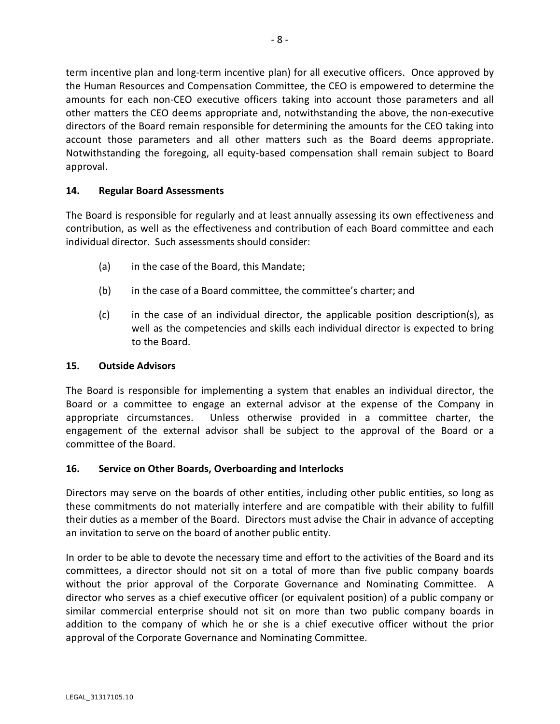term incentive plan and long-term incentive plan) for all executive officers. Once approved by the Human Resources and Compensation Committee, the CEO is empowered to determine the amounts for each non-CEO executive officers taking into account those parameters and all other matters the CEO deems appropriate and, notwithstanding the above, the non-executive directors of the Board remain responsible for determining the amounts for the CEO taking into account those parameters and all other matters such as the Board deems appropriate. Notwithstanding the foregoing, all equity-based compensation shall remain subject to Board approval.

### **14. Regular Board Assessments**

The Board is responsible for regularly and at least annually assessing its own effectiveness and contribution, as well as the effectiveness and contribution of each Board committee and each individual director. Such assessments should consider:

- (a) in the case of the Board, this Mandate;
- (b) in the case of a Board committee, the committee's charter; and
- (c) in the case of an individual director, the applicable position description(s), as well as the competencies and skills each individual director is expected to bring to the Board.

#### **15. Outside Advisors**

The Board is responsible for implementing a system that enables an individual director, the Board or a committee to engage an external advisor at the expense of the Company in appropriate circumstances. Unless otherwise provided in a committee charter, the engagement of the external advisor shall be subject to the approval of the Board or a committee of the Board.

### **16. Service on Other Boards, Overboarding and Interlocks**

Directors may serve on the boards of other entities, including other public entities, so long as these commitments do not materially interfere and are compatible with their ability to fulfill their duties as a member of the Board. Directors must advise the Chair in advance of accepting an invitation to serve on the board of another public entity.

In order to be able to devote the necessary time and effort to the activities of the Board and its committees, a director should not sit on a total of more than five public company boards without the prior approval of the Corporate Governance and Nominating Committee. A director who serves as a chief executive officer (or equivalent position) of a public company or similar commercial enterprise should not sit on more than two public company boards in addition to the company of which he or she is a chief executive officer without the prior approval of the Corporate Governance and Nominating Committee.